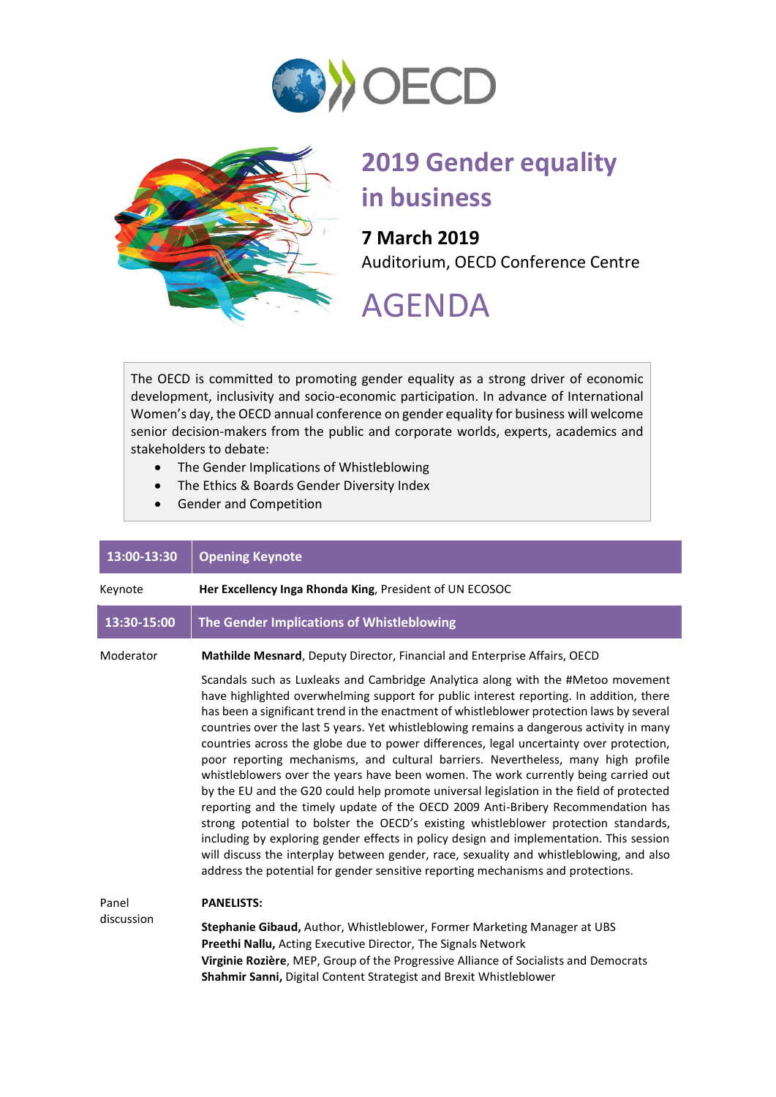



## **2019 Gender equality in business**

**7 March 2019** Auditorium, OECD Conference Centre

## AGENDA

The OECD is committed to promoting gender equality as a strong driver of economic development, inclusivity and socio-economic participation. In advance of International Women's day, the OECD annual conference on gender equality for business will welcome senior decision-makers from the public and corporate worlds, experts, academics and stakeholders to debate:

- The Gender Implications of Whistleblowing
- The Ethics & Boards Gender Diversity Index
- Gender and Competition

| 13:00-13:30 | <b>Opening Keynote</b>                                                                                                                                                                                                                                                                                                                                                                                                                                                                                                                                                                                                                                                                                                                                                                                                                                                                                                                                                                                                                                                                                                                                                                       |
|-------------|----------------------------------------------------------------------------------------------------------------------------------------------------------------------------------------------------------------------------------------------------------------------------------------------------------------------------------------------------------------------------------------------------------------------------------------------------------------------------------------------------------------------------------------------------------------------------------------------------------------------------------------------------------------------------------------------------------------------------------------------------------------------------------------------------------------------------------------------------------------------------------------------------------------------------------------------------------------------------------------------------------------------------------------------------------------------------------------------------------------------------------------------------------------------------------------------|
| Keynote     | Her Excellency Inga Rhonda King, President of UN ECOSOC                                                                                                                                                                                                                                                                                                                                                                                                                                                                                                                                                                                                                                                                                                                                                                                                                                                                                                                                                                                                                                                                                                                                      |
| 13:30-15:00 | The Gender Implications of Whistleblowing                                                                                                                                                                                                                                                                                                                                                                                                                                                                                                                                                                                                                                                                                                                                                                                                                                                                                                                                                                                                                                                                                                                                                    |
| Moderator   | Mathilde Mesnard, Deputy Director, Financial and Enterprise Affairs, OECD                                                                                                                                                                                                                                                                                                                                                                                                                                                                                                                                                                                                                                                                                                                                                                                                                                                                                                                                                                                                                                                                                                                    |
|             | Scandals such as Luxleaks and Cambridge Analytica along with the #Metoo movement<br>have highlighted overwhelming support for public interest reporting. In addition, there<br>has been a significant trend in the enactment of whistleblower protection laws by several<br>countries over the last 5 years. Yet whistleblowing remains a dangerous activity in many<br>countries across the globe due to power differences, legal uncertainty over protection,<br>poor reporting mechanisms, and cultural barriers. Nevertheless, many high profile<br>whistleblowers over the years have been women. The work currently being carried out<br>by the EU and the G20 could help promote universal legislation in the field of protected<br>reporting and the timely update of the OECD 2009 Anti-Bribery Recommendation has<br>strong potential to bolster the OECD's existing whistleblower protection standards,<br>including by exploring gender effects in policy design and implementation. This session<br>will discuss the interplay between gender, race, sexuality and whistleblowing, and also<br>address the potential for gender sensitive reporting mechanisms and protections. |
| Panel       | <b>PANELISTS:</b>                                                                                                                                                                                                                                                                                                                                                                                                                                                                                                                                                                                                                                                                                                                                                                                                                                                                                                                                                                                                                                                                                                                                                                            |
| discussion  | Stephanie Gibaud, Author, Whistleblower, Former Marketing Manager at UBS<br>Preethi Nallu, Acting Executive Director, The Signals Network<br>Virginie Rozière, MEP, Group of the Progressive Alliance of Socialists and Democrats<br>Shahmir Sanni, Digital Content Strategist and Brexit Whistleblower                                                                                                                                                                                                                                                                                                                                                                                                                                                                                                                                                                                                                                                                                                                                                                                                                                                                                      |